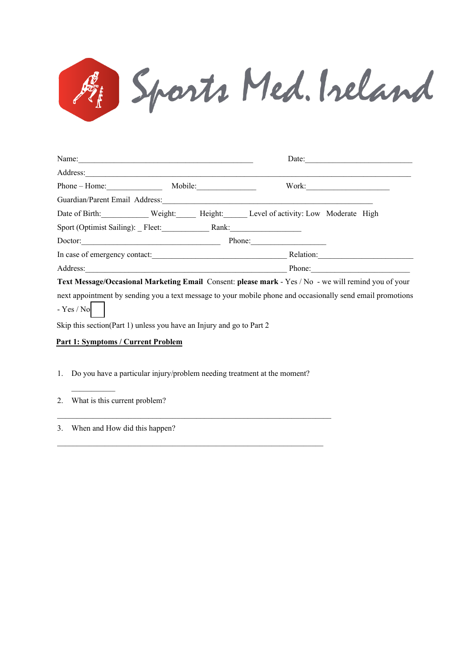

| Name:                            |         | Date:                                |  |  |  |  |
|----------------------------------|---------|--------------------------------------|--|--|--|--|
| Address:                         |         |                                      |  |  |  |  |
| $Phone - Home$ :                 | Mobile: | Work:                                |  |  |  |  |
| Guardian/Parent Email Address:   |         |                                      |  |  |  |  |
| Weight:<br>Date of Birth:        | Height: | Level of activity: Low Moderate High |  |  |  |  |
| Sport (Optimist Sailing): Fleet: | Rank:   |                                      |  |  |  |  |
| Doctor:                          |         | Phone:                               |  |  |  |  |
| In case of emergency contact:    |         | Relation:                            |  |  |  |  |
| Address:                         |         | Phone:                               |  |  |  |  |

**Text Message/Occasional Marketing Email** Consent: **please mark** - Yes / No - we will remind you of your

next appointment by sending you a text message to your mobile phone and occasionally send email promotions  $-$  Yes / No

Skip this section(Part 1) unless you have an Injury and go to Part 2

## **Part 1: Symptoms / Current Problem**

1. Do you have a particular injury/problem needing treatment at the moment?

 $\_$  , and the set of the set of the set of the set of the set of the set of the set of the set of the set of the set of the set of the set of the set of the set of the set of the set of the set of the set of the set of th

 $\_$  , and the set of the set of the set of the set of the set of the set of the set of the set of the set of the set of the set of the set of the set of the set of the set of the set of the set of the set of the set of th

2. What is this current problem?

 $\frac{1}{2}$ 

3. When and How did this happen?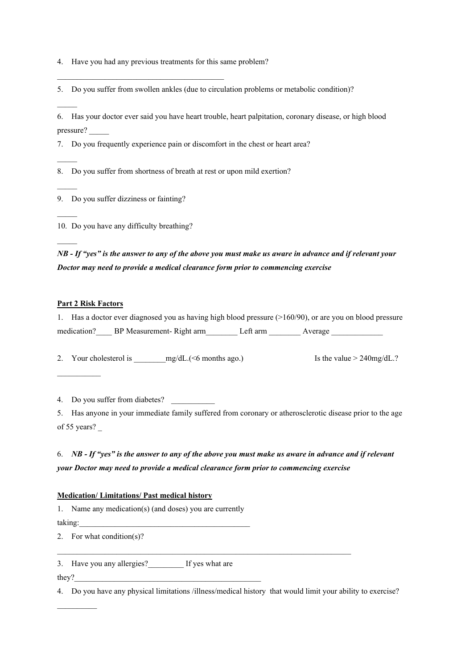4. Have you had any previous treatments for this same problem?

 $\mathcal{L}_\mathcal{L}$  , and the set of the set of the set of the set of the set of the set of the set of the set of the set of the set of the set of the set of the set of the set of the set of the set of the set of the set of th

5. Do you suffer from swollen ankles (due to circulation problems or metabolic condition)?

6. Has your doctor ever said you have heart trouble, heart palpitation, coronary disease, or high blood pressure? \_\_\_\_\_

7. Do you frequently experience pain or discomfort in the chest or heart area?

8. Do you suffer from shortness of breath at rest or upon mild exertion?

9. Do you suffer dizziness or fainting?

10. Do you have any difficulty breathing?

*NB - If "yes" is the answer to any of the above you must make us aware in advance and if relevant your Doctor may need to provide a medical clearance form prior to commencing exercise*

## **Part 2 Risk Factors**

 $\mathcal{L}$  . The set of  $\mathcal{L}$ 

 $\mathcal{L}$ 

 $\mathcal{L}$ 

 $\mathcal{L}$ 

 $\mathcal{L}$ 

 $\mathcal{L}$ 

| 1. Has a doctor ever diagnosed you as having high blood pressure (>160/90), or are you on blood pressure |                  |  |
|----------------------------------------------------------------------------------------------------------|------------------|--|
| medication? BP Measurement-Right arm                                                                     | Left arm Average |  |

2. Your cholesterol is \_\_\_\_\_\_\_\_mg/dL.(<6 months ago.) Is the value > 240mg/dL.?

4. Do you suffer from diabetes?

5. Has anyone in your immediate family suffered from coronary or atherosclerotic disease prior to the age of 55 years? \_

6. NB - If "yes" is the answer to any of the above you must make us aware in advance and if relevant *your Doctor may need to provide a medical clearance form prior to commencing exercise*

## **Medication/ Limitations/ Past medical history**

1. Name any medication(s) (and doses) you are currently taking:

2. For what condition(s)?

3. Have you any allergies?\_\_\_\_\_\_\_\_\_ If yes what are

they?

 $\mathcal{L}$  and  $\mathcal{L}$ 

4. Do you have any physical limitations /illness/medical history that would limit your ability to exercise?

 $\_$  . The contribution of the contribution of the contribution of the contribution of  $\mathcal{L}_\text{max}$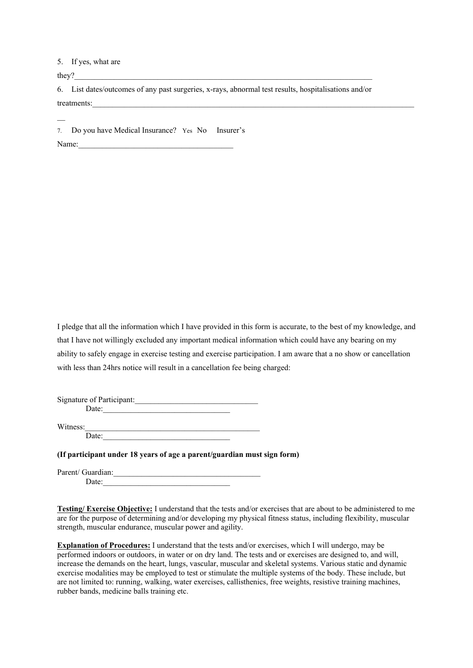## 5. If yes, what are

they?  $\blacksquare$ 

6. List dates/outcomes of any past surgeries, x-rays, abnormal test results, hospitalisations and/or treatments:\_\_\_\_\_\_\_\_\_\_\_\_\_\_\_\_\_\_\_\_\_\_\_\_\_\_\_\_\_\_\_\_\_\_\_\_\_\_\_\_\_\_\_\_\_\_\_\_\_\_\_\_\_\_\_\_\_\_\_\_\_\_\_\_\_\_\_\_\_\_\_\_\_\_\_\_\_\_\_\_\_

7. Do you have Medical Insurance? Yes No Insurer's

Name:

 $\overline{\phantom{a}}$ 

I pledge that all the information which I have provided in this form is accurate, to the best of my knowledge, and that I have not willingly excluded any important medical information which could have any bearing on my ability to safely engage in exercise testing and exercise participation. I am aware that a no show or cancellation with less than 24hrs notice will result in a cancellation fee being charged:

Signature of Participant: Date:

Witness: Date:

**(If participant under 18 years of age a parent/guardian must sign form)**

Parent/ Guardian: Date:  $\overline{\phantom{a}}$ 

**Testing/ Exercise Objective:** I understand that the tests and/or exercises that are about to be administered to me are for the purpose of determining and/or developing my physical fitness status, including flexibility, muscular strength, muscular endurance, muscular power and agility.

**Explanation of Procedures:** I understand that the tests and/or exercises, which I will undergo, may be performed indoors or outdoors, in water or on dry land. The tests and or exercises are designed to, and will, increase the demands on the heart, lungs, vascular, muscular and skeletal systems. Various static and dynamic exercise modalities may be employed to test or stimulate the multiple systems of the body. These include, but are not limited to: running, walking, water exercises, callisthenics, free weights, resistive training machines, rubber bands, medicine balls training etc.